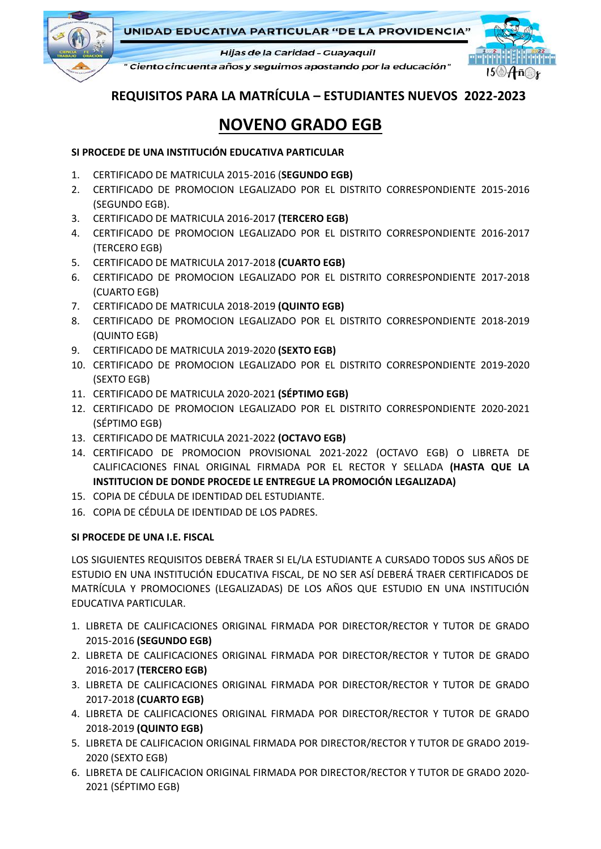

UNIDAD EDUCATIVA PARTICULAR "DE LA PROVIDENCIA"

Hijas de la Caridad - Guayaquil

" Ciento cincuenta años y seguimos apostando por la educación"



**REQUISITOS PARA LA MATRÍCULA – ESTUDIANTES NUEVOS 2022-2023**

## **NOVENO GRADO EGB**

## **SI PROCEDE DE UNA INSTITUCIÓN EDUCATIVA PARTICULAR**

- 1. CERTIFICADO DE MATRICULA 2015-2016 (**SEGUNDO EGB)**
- 2. CERTIFICADO DE PROMOCION LEGALIZADO POR EL DISTRITO CORRESPONDIENTE 2015-2016 (SEGUNDO EGB).
- 3. CERTIFICADO DE MATRICULA 2016-2017 **(TERCERO EGB)**
- 4. CERTIFICADO DE PROMOCION LEGALIZADO POR EL DISTRITO CORRESPONDIENTE 2016-2017 (TERCERO EGB)
- 5. CERTIFICADO DE MATRICULA 2017-2018 **(CUARTO EGB)**
- 6. CERTIFICADO DE PROMOCION LEGALIZADO POR EL DISTRITO CORRESPONDIENTE 2017-2018 (CUARTO EGB)
- 7. CERTIFICADO DE MATRICULA 2018-2019 **(QUINTO EGB)**
- 8. CERTIFICADO DE PROMOCION LEGALIZADO POR EL DISTRITO CORRESPONDIENTE 2018-2019 (QUINTO EGB)
- 9. CERTIFICADO DE MATRICULA 2019-2020 **(SEXTO EGB)**
- 10. CERTIFICADO DE PROMOCION LEGALIZADO POR EL DISTRITO CORRESPONDIENTE 2019-2020 (SEXTO EGB)
- 11. CERTIFICADO DE MATRICULA 2020-2021 **(SÉPTIMO EGB)**
- 12. CERTIFICADO DE PROMOCION LEGALIZADO POR EL DISTRITO CORRESPONDIENTE 2020-2021 (SÉPTIMO EGB)
- 13. CERTIFICADO DE MATRICULA 2021-2022 **(OCTAVO EGB)**
- 14. CERTIFICADO DE PROMOCION PROVISIONAL 2021-2022 (OCTAVO EGB) O LIBRETA DE CALIFICACIONES FINAL ORIGINAL FIRMADA POR EL RECTOR Y SELLADA **(HASTA QUE LA INSTITUCION DE DONDE PROCEDE LE ENTREGUE LA PROMOCIÓN LEGALIZADA)**
- 15. COPIA DE CÉDULA DE IDENTIDAD DEL ESTUDIANTE.
- 16. COPIA DE CÉDULA DE IDENTIDAD DE LOS PADRES.

## **SI PROCEDE DE UNA I.E. FISCAL**

LOS SIGUIENTES REQUISITOS DEBERÁ TRAER SI EL/LA ESTUDIANTE A CURSADO TODOS SUS AÑOS DE ESTUDIO EN UNA INSTITUCIÓN EDUCATIVA FISCAL, DE NO SER ASÍ DEBERÁ TRAER CERTIFICADOS DE MATRÍCULA Y PROMOCIONES (LEGALIZADAS) DE LOS AÑOS QUE ESTUDIO EN UNA INSTITUCIÓN EDUCATIVA PARTICULAR.

- 1. LIBRETA DE CALIFICACIONES ORIGINAL FIRMADA POR DIRECTOR/RECTOR Y TUTOR DE GRADO 2015-2016 **(SEGUNDO EGB)**
- 2. LIBRETA DE CALIFICACIONES ORIGINAL FIRMADA POR DIRECTOR/RECTOR Y TUTOR DE GRADO 2016-2017 **(TERCERO EGB)**
- 3. LIBRETA DE CALIFICACIONES ORIGINAL FIRMADA POR DIRECTOR/RECTOR Y TUTOR DE GRADO 2017-2018 **(CUARTO EGB)**
- 4. LIBRETA DE CALIFICACIONES ORIGINAL FIRMADA POR DIRECTOR/RECTOR Y TUTOR DE GRADO 2018-2019 **(QUINTO EGB)**
- 5. LIBRETA DE CALIFICACION ORIGINAL FIRMADA POR DIRECTOR/RECTOR Y TUTOR DE GRADO 2019- 2020 (SEXTO EGB)
- 6. LIBRETA DE CALIFICACION ORIGINAL FIRMADA POR DIRECTOR/RECTOR Y TUTOR DE GRADO 2020- 2021 (SÉPTIMO EGB)